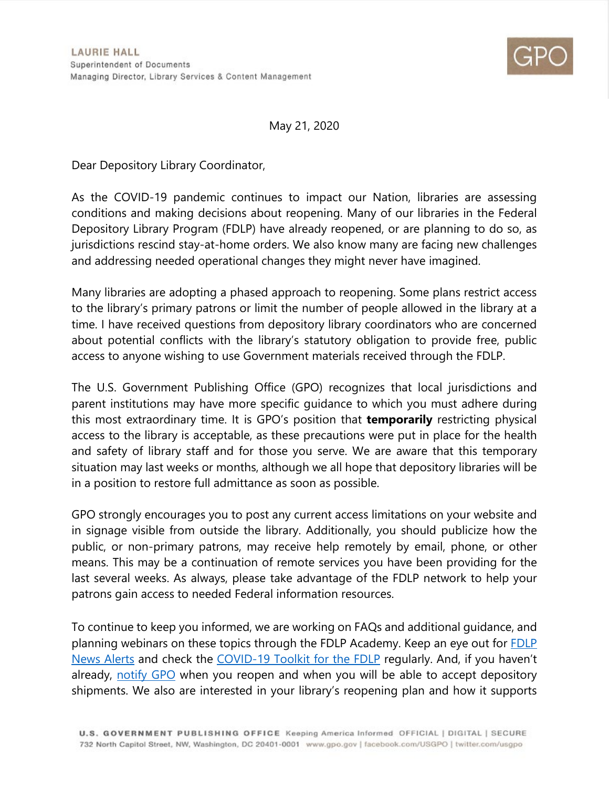

May 21, 2020

Dear Depository Library Coordinator,

As the COVID-19 pandemic continues to impact our Nation, libraries are assessing conditions and making decisions about reopening. Many of our libraries in the Federal Depository Library Program (FDLP) have already reopened, or are planning to do so, as jurisdictions rescind stay-at-home orders. We also know many are facing new challenges and addressing needed operational changes they might never have imagined.

Many libraries are adopting a phased approach to reopening. Some plans restrict access to the library's primary patrons or limit the number of people allowed in the library at a time. I have received questions from depository library coordinators who are concerned about potential conflicts with the library's statutory obligation to provide free, public access to anyone wishing to use Government materials received through the FDLP.

The U.S. Government Publishing Office (GPO) recognizes that local jurisdictions and parent institutions may have more specific guidance to which you must adhere during this most extraordinary time. It is GPO's position that **temporarily** restricting physical access to the library is acceptable, as these precautions were put in place for the health and safety of library staff and for those you serve. We are aware that this temporary situation may last weeks or months, although we all hope that depository libraries will be in a position to restore full admittance as soon as possible.

GPO strongly encourages you to post any current access limitations on your website and in signage visible from outside the library. Additionally, you should publicize how the public, or non-primary patrons, may receive help remotely by email, phone, or other means. This may be a continuation of remote services you have been providing for the last several weeks. As always, please take advantage of the FDLP network to help your patrons gain access to needed Federal information resources.

To continue to keep you informed, we are working on FAQs and additional guidance, and planning webinars on these topics through the FDLP Academy. Keep an eye out for [FDLP](https://www.fdlp.gov/news-and-events)  [News Alerts](https://www.fdlp.gov/news-and-events) and check the [COVID-19 Toolkit for the FDLP](https://www.fdlp.gov/promotion/covid-19-fdlp-toolkit) regularly. And, if you haven't already, [notify GPO](https://www.fdlp.gov/news-and-events/4511-important-call-to-action-notify-gpo-as-your-library-reopens) when you reopen and when you will be able to accept depository shipments. We also are interested in your library's reopening plan and how it supports